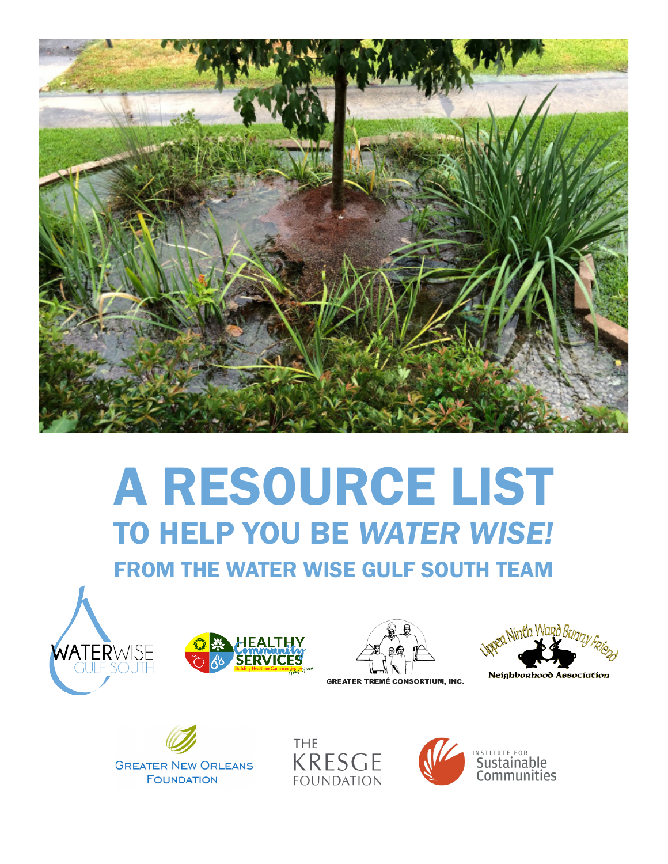

# A RESOURCE LIST TO HELP YOU BE *WATER WISE!*

FROM THE WATER WISE GULF SOUTH TEAM











**THE KRESGE FOUNDATION** 



INSTITUTE FOR **Communities**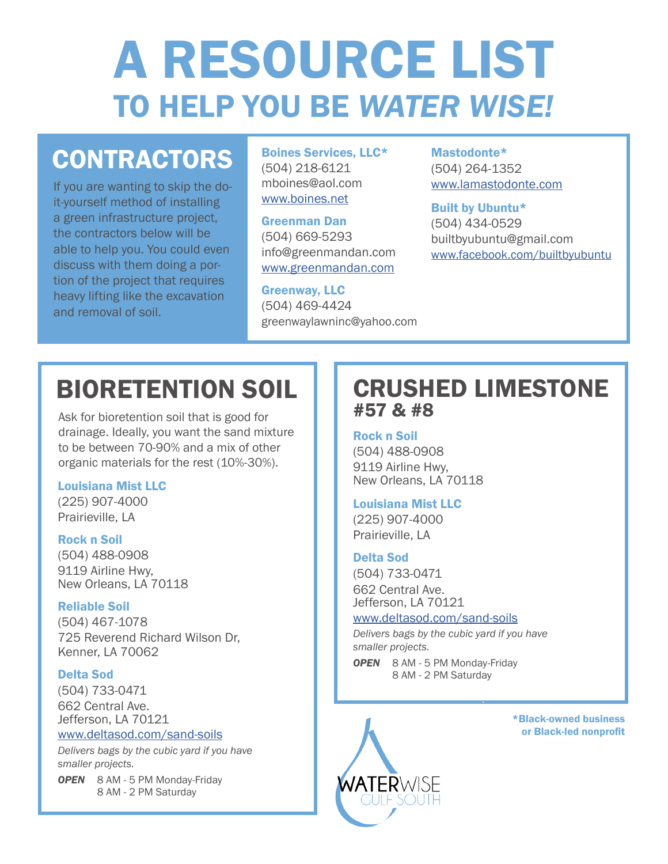# A RESOURCE LIST TO HELP YOU BE *WATER WISE!*

# **CONTRACTORS**

If you are wanting to skip the doit-yourself method of installing a green infrastructure project, the contractors below will be able to help you. You could even discuss with them doing a portion of the project that requires heavy lifting like the excavation and removal of soil.

Boines Services, LLC\* (504) 218-6121 mboines@aol.com [www.boines.net](http://www.boines.net)

Greenman Dan (504) 669-5293 info@greenmandan.com [www.greenmandan.com](http://www.greenmandan.com)

Greenway, LLC (504) 469-4424 greenwaylawninc@yahoo.com

Mastodonte\* (504) 264-1352 [www.lamastodonte.com](http://www.lamastodonte.com)

Built by Ubuntu\* (504) 434-0529 builtbyubuntu@gmail.com [www.facebook.com/builtbyubuntu](http://www.facebook.com/builtbyubuntu)

# BIORETENTION SOIL

Ask for bioretention soil that is good for drainage. Ideally, you want the sand mixture to be between 70-90% and a mix of other organic materials for the rest (10%-30%).

#### Louisiana Mist LLC

(225) 907-4000 Prairieville, LA

#### Rock n Soil

(504) 488-0908 9119 Airline Hwy, New Orleans, LA 70118

#### Reliable Soil

(504) 467-1078 725 Reverend Richard Wilson Dr, Kenner, LA 70062

#### Delta Sod

(504) 733-0471 662 Central Ave. Jefferson, LA 70121

#### [www.deltasod.com/sand-soils](http://www.deltasod.com/sand-soils/)

*Delivers bags by the cubic yard if you have smaller projects.*

*OPEN* 8 AM - 5 PM Monday-Friday 8 AM - 2 PM Saturday

### CRUSHED LIMESTONE #57 & #8

#### Rock n Soil

(504) 488-0908 9119 Airline Hwy, New Orleans, LA 70118

#### Louisiana Mist LLC

(225) 907-4000 Prairieville, LA

#### Delta Sod

(504) 733-0471 662 Central Ave. Jefferson, LA 70121

#### [www.deltasod.com/sand-soils](http://www.deltasod.com/sand-soils/)

*Delivers bags by the cubic yard if you have smaller projects.*

*OPEN* 8 AM - 5 PM Monday-Friday 8 AM - 2 PM Saturday



\*Black-owned business or Black-led nonprofit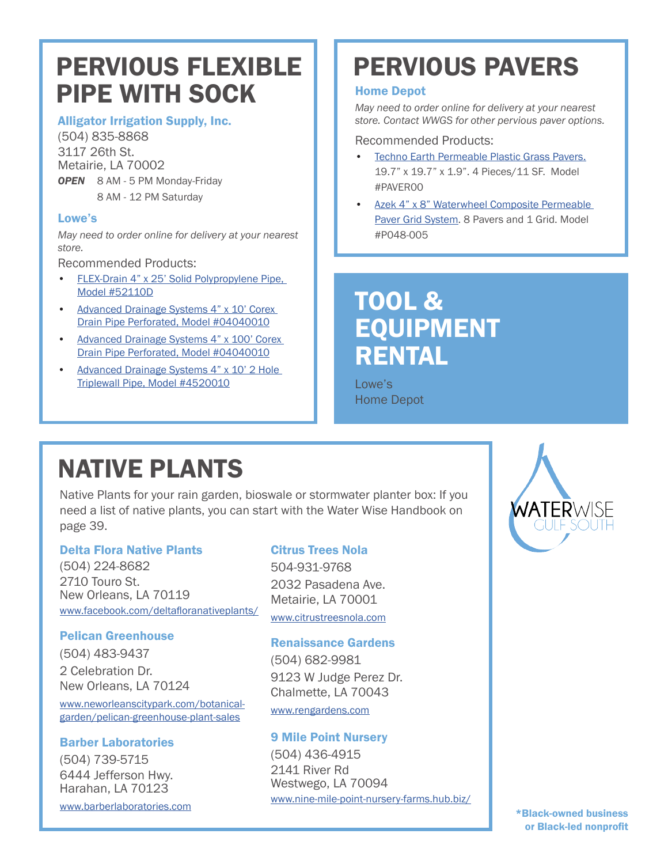### PERVIOUS FLEXIBLE PIPE WITH SOCK

#### Alligator Irrigation Supply, Inc.

(504) 835-8868 3117 26th St. Metairie, LA 70002

*OPEN* 8 AM - 5 PM Monday-Friday 8 AM - 12 PM Saturday

#### Lowe's

*May need to order online for delivery at your nearest store.* 

Recommended Products:

- [FLEX-Drain 4" x 25' Solid Polypropylene Pipe,](http://www.homedepot.com/p/FLEX-Drain-4-in-x-25-ft-Solid-Polypropylene-Pipe-52110D/202745403)  [Model #52110D](http://www.homedepot.com/p/FLEX-Drain-4-in-x-25-ft-Solid-Polypropylene-Pipe-52110D/202745403)
- [Advanced Drainage Systems 4" x 10' Corex](http://www.lowes.com/pd/ADS-4-in-x-10-ft-Corrugated-Perforated-Pipe/50163591)  [Drain Pipe Perforated, Model #04040010](http://www.lowes.com/pd/ADS-4-in-x-10-ft-Corrugated-Perforated-Pipe/50163591)
- [Advanced Drainage Systems 4" x 100' Corex](http://www.lowes.com/pd/ADS-4-in-x-100-ft-Corrugated-Perforated-Pipe/50163593)  [Drain Pipe Perforated, Model #04040010](http://www.lowes.com/pd/ADS-4-in-x-100-ft-Corrugated-Perforated-Pipe/50163593)
- [Advanced Drainage Systems 4" x 10' 2 Hole](http://www.lowes.com/pd/Hancor-4-in-x-10-ft-Corrugated-Perforated-Pipe/3523668)  [Triplewall Pipe, Model #4520010](http://www.lowes.com/pd/Hancor-4-in-x-10-ft-Corrugated-Perforated-Pipe/3523668)

# PERVIOUS PAVERS

#### Home Depot

*May need to order online for delivery at your nearest store. Contact WWGS for other pervious paver options.* 

#### Recommended Products:

- [Techno Earth Permeable Plastic Grass Pavers.](http://www.homedepot.com/p/Techno-Earth-19-7-in-x-19-7-in-x-1-9-in-Black-Permeable-Plastic-Grass-Pavers-for-Parking-Lots-Driveways-4-Pieces-11-sq-ft-PAVER00/304583216) 19.7" x 19.7" x 1.9". 4 Pieces/11 SF. Model #PAVER00
- [Azek 4" x 8" Waterwheel Composite Permeable](http://www.homedepot.com/p/Azek-4-in-x-8-in-Waterwheel-Composite-Permeable-Paver-Grid-System-8-Pavers-and-1-Grid-P048-005/204856045)  [Paver Grid System](http://www.homedepot.com/p/Azek-4-in-x-8-in-Waterwheel-Composite-Permeable-Paver-Grid-System-8-Pavers-and-1-Grid-P048-005/204856045). 8 Pavers and 1 Grid. Model #P048-005

### TOOL & EQUIPMENT RENTAL

Lowe's Home Depot

# NATIVE PLANTS

Native Plants for your rain garden, bioswale or stormwater planter box: If you need a list of native plants, you can start with the Water Wise Handbook on page 39.

#### Delta Flora Native Plants

(504) 224-8682 2710 Touro St. New Orleans, LA 70119 www.facebook.com/[deltafloranativeplants/](http://www.facebook.com/deltafloranativeplants/)

#### Pelican Greenhouse

(504) 483-9437 2 Celebration Dr. New Orleans, LA 70124

www.[neworleanscitypark.com/botanical](http://www.neworleanscitypark.com/events/pelican-greenhouse-plant-sales)[garden/pelican-greenhouse-plant-sales](http://www.neworleanscitypark.com/events/pelican-greenhouse-plant-sales)

#### Barber Laboratories

(504) 739-5715 6444 Jefferson Hwy. Harahan, LA 70123 www.[barberlaboratories.com](http://www.barberlaboratories.com/ )

#### Citrus Trees Nola

504-931-9768 2032 Pasadena Ave. Metairie, LA 70001 [www.citrustreesnola.com](http://www.citrustreesnola.com/ )

#### Renaissance Gardens

(504) 682-9981 9123 W Judge Perez Dr. Chalmette, LA 70043

[www.rengardens.com](http://www.rengardens.com)

#### 9 Mile Point Nursery

(504) 436-4915 2141 River Rd Westwego, LA 70094 www[.nine-mile-point-nursery-farms.hub.biz/](http://www.nine-mile-point-nursery-farms.hub.biz/)

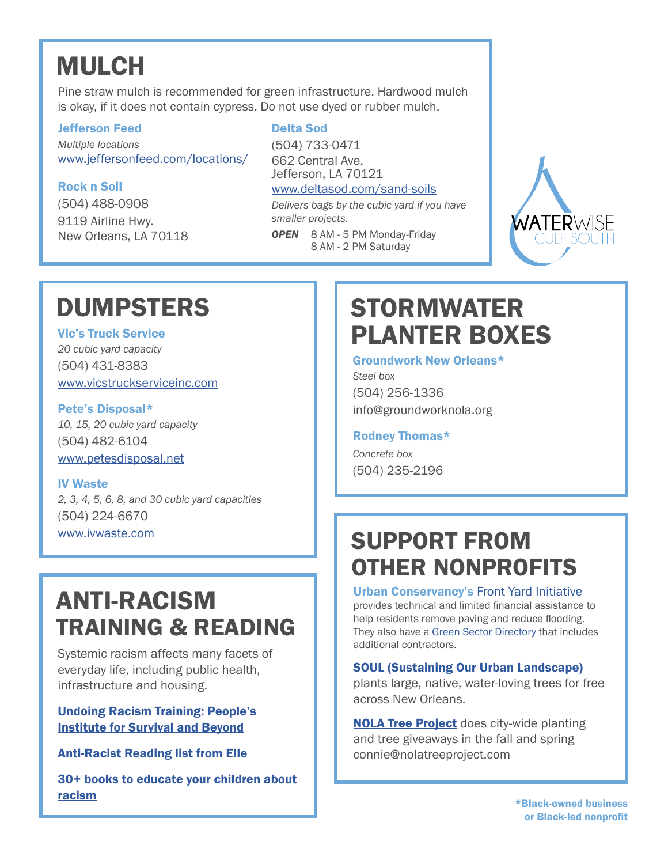# MULCH

Pine straw mulch is recommended for green infrastructure. Hardwood mulch is okay, if it does not contain cypress. Do not use dyed or rubber mulch.

#### Jefferson Feed

*Multiple locations* [www.](http://www.vicstruckserviceinc.com/ )jeffersonfeed.com/locations/

#### Rock n Soil

(504) 488-0908 9119 Airline Hwy. New Orleans, LA 70118

#### Delta Sod

(504) 733-0471 662 Central Ave. Jefferson, LA 70121 [www.deltasod.com/sand-soils](http://www.deltasod.com/sand-soils/ )

*Delivers bags by the cubic yard if you have smaller projects.*

*OPEN* 8 AM - 5 PM Monday-Friday 8 AM - 2 PM Saturday



# DUMPSTERS

Vic's Truck Service *20 cubic yard capacity* (504) 431-8383

[www.vicstruckserviceinc.com](http://www.vicstruckserviceinc.com/ ) Pete's Disposal\*

*10, 15, 20 cubic yard capacity* (504) 482-6104 [www.petesdisposal.net](http://www.petesdisposal.net)

#### IV Waste

*2, 3, 4, 5, 6, 8, and 30 cubic yard capacities* (504) 224-6670 www[.ivwaste.com](http://www.ivwaste.com/products/front-load-dumpster/)

### ANTI-RACISM TRAINING & READING

Systemic racism affects many facets of everyday life, including public health, infrastructure and housing.

[Undoing Racism Training: People's](http://www.pisab.org/)  [Institute for Survival and Beyond](http://www.pisab.org/)

[Anti-Racist Reading list from Elle](http://www.elle.com/culture/books/g32687973/black-history-books-reading-list/)

[30+ books to educate your children about](http://www.townandcountrymag.com/leisure/arts-and-culture/g32743703/how-to-talk-to-kids-about-racism-books/)  [racism](http://www.townandcountrymag.com/leisure/arts-and-culture/g32743703/how-to-talk-to-kids-about-racism-books/)

# STORMWATER PLANTER BOXES

#### Groundwork New Orleans\*

*Steel box* (504) 256-1336 info@groundworknola.org

#### Rodney Thomas\*

*Concrete box* (504) 235-2196

### SUPPORT FROM OTHER NONPROFITS

#### Urban Conservancy's [Front Yard Initiative](https://www.urbanconservancy.org/project/fyi/)

provides technical and limited financial assistance to help residents remove paving and reduce flooding. They also have a [Green Sector Directory](https://www.staylocal.org/greensector) that includes additional contractors.

#### [SOUL \(Sustaining Our Urban Landscape\)](https://soulnola.org/get-trees/)

plants large, native, water-loving trees for free across New Orleans.

**[NOLA Tree Project](https://www.nolatreeproject.org/)** does city-wide planting and tree giveaways in the fall and spring connie@nolatreeproject.com

> \*Black-owned business or Black-led nonprofit